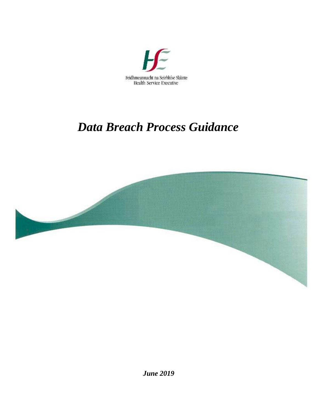

# *Data Breach Process Guidance*

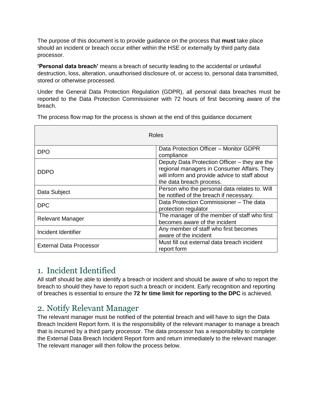The purpose of this document is to provide guidance on the process that **must** take place should an incident or breach occur either within the HSE or externally by third party data processor.

**'Personal data breach'** means a breach of security leading to the accidental or unlawful destruction, loss, alteration, unauthorised disclosure of, or access to, personal data transmitted, stored or otherwise processed.

Under the General Data Protection Regulation (GDPR), all personal data breaches must be reported to the Data Protection Commissioner with 72 hours of first becoming aware of the breach.

| Roles                          |                                                                                                                                                                           |
|--------------------------------|---------------------------------------------------------------------------------------------------------------------------------------------------------------------------|
| <b>DPO</b>                     | Data Protection Officer - Monitor GDPR<br>compliance                                                                                                                      |
| <b>DDPO</b>                    | Deputy Data Protection Officer – they are the<br>regional managers in Consumer Affairs. They<br>will inform and provide advice to staff about<br>the data breach process. |
| Data Subject                   | Person who the personal data relates to. Will<br>be notified of the breach if necessary.                                                                                  |
| <b>DPC</b>                     | Data Protection Commissioner - The data<br>protection regulator                                                                                                           |
| <b>Relevant Manager</b>        | The manager of the member of staff who first<br>becomes aware of the incident                                                                                             |
| Incident Identifier            | Any member of staff who first becomes<br>aware of the incident                                                                                                            |
| <b>External Data Processor</b> | Must fill out external data breach incident<br>report form                                                                                                                |

The process flow map for the process is shown at the end of this guidance document

### 1. Incident Identified

All staff should be able to identify a breach or incident and should be aware of who to report the breach to should they have to report such a breach or incident. Early recognition and reporting of breaches is essential to ensure the **72 hr time limit for reporting to the DPC** is achieved.

### 2. Notify Relevant Manager

The relevant manager must be notified of the potential breach and will have to sign the Data Breach Incident Report form. It is the responsibility of the relevant manager to manage a breach that is incurred by a third party processor. The data processor has a responsibility to complete the External Data Breach Incident Report form and return immediately to the relevant manager. The relevant manager will then follow the process below.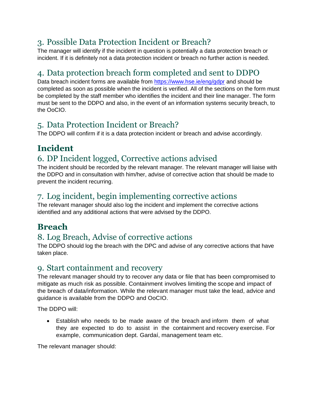## 3. Possible Data Protection Incident or Breach?

The manager will identify if the incident in question is potentially a data protection breach or incident. If it is definitely not a data protection incident or breach no further action is needed.

# 4. Data protection breach form completed and sent to DDPO

Data breach incident forms are available from https://www.hse.je/eng/gdpr and should be completed as soon as possible when the incident is verified. All of the sections on the form must be completed by the staff member who identifies the incident and their line manager. The form must be sent to the DDPO and also, in the event of an information systems security breach, to the OoCIO.

### 5. Data Protection Incident or Breach?

The DDPO will confirm if it is a data protection incident or breach and advise accordingly.

# **Incident**

# 6. DP Incident logged, Corrective actions advised

The incident should be recorded by the relevant manager. The relevant manager will liaise with the DDPO and in consultation with him/her, advise of corrective action that should be made to prevent the incident recurring.

# 7. Log incident, begin implementing corrective actions

The relevant manager should also log the incident and implement the corrective actions identified and any additional actions that were advised by the DDPO.

# **Breach**

# 8. Log Breach, Advise of corrective actions

The DDPO should log the breach with the DPC and advise of any corrective actions that have taken place.

#### 9. Start containment and recovery

The relevant manager should try to recover any data or file that has been compromised to mitigate as much risk as possible. Containment involves limiting the scope and impact of the breach of data/information. While the relevant manager must take the lead, advice and guidance is available from the DDPO and OoCIO.

The DDPO will:

 Establish who needs to be made aware of the breach and inform them of what they are expected to do to assist in the containment and recovery exercise. For example, communication dept. Gardaí, management team etc.

The relevant manager should: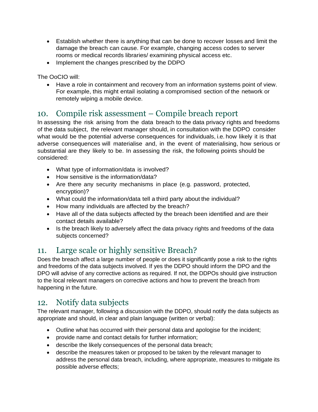- Establish whether there is anything that can be done to recover losses and limit the damage the breach can cause. For example, changing access codes to server rooms or medical records libraries/ examining physical access etc.
- Implement the changes prescribed by the DDPO

The OoCIO will:

 Have a role in containment and recovery from an information systems point of view. For example, this might entail isolating a compromised section of the network or remotely wiping a mobile device.

#### 10. Compile risk assessment – Compile breach report

In assessing the risk arising from the data breach to the data privacy rights and freedoms of the data subject, the relevant manager should, in consultation with the DDPO consider what would be the potential adverse consequences for individuals, i.e. how likely it is that adverse consequences will materialise and, in the event of materialising, how serious or substantial are they likely to be. In assessing the risk, the following points should be considered:

- What type of information/data is involved?
- How sensitive is the information/data?
- Are there any security mechanisms in place (e.g. password, protected, encryption)?
- What could the information/data tell a third party about the individual?
- How many individuals are affected by the breach?
- Have all of the data subjects affected by the breach been identified and are their contact details available?
- Is the breach likely to adversely affect the data privacy rights and freedoms of the data subjects concerned?

#### 11. Large scale or highly sensitive Breach?

Does the breach affect a large number of people or does it significantly pose a risk to the rights and freedoms of the data subjects involved. If yes the DDPO should inform the DPO and the DPO will advise of any corrective actions as required. If not, the DDPOs should give instruction to the local relevant managers on corrective actions and how to prevent the breach from happening in the future.

### 12. Notify data subjects

The relevant manager, following a discussion with the DDPO, should notify the data subjects as appropriate and should, in clear and plain language (written or verbal):

- Outline what has occurred with their personal data and apologise for the incident;
- provide name and contact details for further information;
- describe the likely consequences of the personal data breach;
- describe the measures taken or proposed to be taken by the relevant manager to address the personal data breach, including, where appropriate, measures to mitigate its possible adverse effects;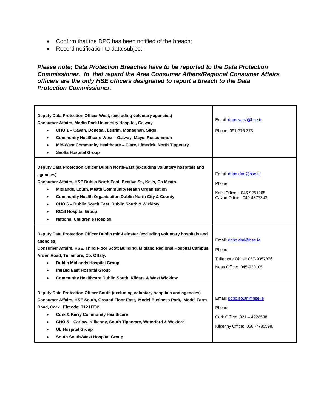- Confirm that the DPC has been notified of the breach;
- Record notification to data subject.

#### *Please note; Data Protection Breaches have to be reported to the Data Protection Commissioner. In that regard the Area Consumer Affairs/Regional Consumer Affairs officers are the only HSE officers designated to report a breach to the Data Protection Commissioner.*

| Deputy Data Protection Officer West, (excluding voluntary agencies)<br>Consumer Affairs, Merlin Park University Hospital, Galway.<br>CHO 1 - Cavan, Donegal, Leitrim, Monaghan, Sligo<br>Community Healthcare West - Galway, Mayo, Roscommon<br>$\bullet$<br>Mid-West Community Healthcare - Clare, Limerick, North Tipperary.<br>$\bullet$<br>Saolta Hospital Group<br>$\bullet$                                                                                                       | Email: ddpo.west@hse.ie<br>Phone: 091-775 373                                                      |
|-----------------------------------------------------------------------------------------------------------------------------------------------------------------------------------------------------------------------------------------------------------------------------------------------------------------------------------------------------------------------------------------------------------------------------------------------------------------------------------------|----------------------------------------------------------------------------------------------------|
| Deputy Data Protection Officer Dublin North-East (excluding voluntary hospitals and<br>agencies)<br>Consumer Affairs, HSE Dublin North East, Bective St., Kells, Co Meath.<br>Midlands, Louth, Meath Community Health Organisation<br>$\bullet$<br><b>Community Health Organisation Dublin North City &amp; County</b><br>$\bullet$<br>CHO 6 - Dublin South East, Dublin South & Wicklow<br>$\bullet$<br><b>RCSI Hospital Group</b><br><b>National Children's Hospital</b><br>$\bullet$ | Email: ddpo.dne@hse.ie<br>Phone:<br>Kells Office: 046-9251265<br>Cavan Office: 049-4377343         |
| Deputy Data Protection Officer Dublin mid-Leinster (excluding voluntary hospitals and<br>agencies)<br>Consumer Affairs, HSE, Third Floor Scott Building, Midland Regional Hospital Campus,<br>Arden Road, Tullamore, Co. Offaly.<br><b>Dublin Midlands Hospital Group</b><br>$\bullet$<br><b>Ireland East Hospital Group</b><br>$\bullet$<br><b>Community Healthcare Dublin South, Kildare &amp; West Wicklow</b><br>$\bullet$                                                          | Email: ddpo.dml@hse.ie<br>Phone:<br>Tullamore Office: 057-9357876<br>Naas Office: 045-920105       |
| Deputy Data Protection Officer South (excluding voluntary hospitals and agencies)<br>Consumer Affairs, HSE South, Ground Floor East, Model Business Park, Model Farm<br>Road, Cork. Eircode: T12 HT02<br><b>Cork &amp; Kerry Community Healthcare</b><br>$\bullet$<br>CHO 5 - Carlow, Kilkenny, South Tipperary, Waterford & Wexford<br>$\bullet$<br><b>UL Hospital Group</b><br>South South-West Hospital Group<br>$\bullet$                                                           | Email: ddpo.south@hse.ie<br>Phone:<br>Cork Office: 021 - 4928538<br>Kilkenny Office: 056 -7785598. |